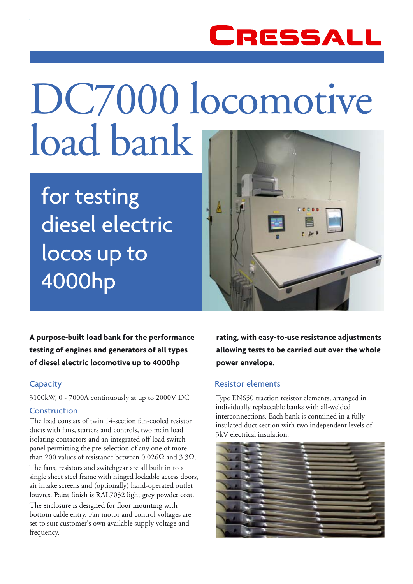

# DC7000 locomotive load bank

for testing diesel electric locos up to 4000hp



**A purpose-built load bank for the performance testing of engines and generators of all types of diesel electric locomotive up to 4000hp** 

# **Capacity**

3100kW, 0 - 7000A continuously at up to 2000V DC

# Construction

The load consists of twin 14-section fan-cooled resistor ducts with fans, starters and controls, two main load isolating contactors and an integrated off-load switch panel permitting the pre-selection of any one of more than 200 values of resistance between 0.026 $Ω$  and 3.3 $Ω$ . The fans, resistors and switchgear are all built in to a single sheet steel frame with hinged lockable access doors, air intake screens and (optionally) hand-operated outlet louvres. Paint finish is RAL7032 light grey powder coat. The enclosure is designed for floor mounting with bottom cable entry. Fan motor and control voltages are set to suit customer's own available supply voltage and frequency.

**rating, with easy-to-use resistance adjustments allowing tests to be carried out over the whole power envelope.**

# Resistor elements

Type EN650 traction resistor elements, arranged in individually replaceable banks with all-welded interconnections. Each bank is contained in a fully insulated duct section with two independent levels of 3kV electrical insulation.